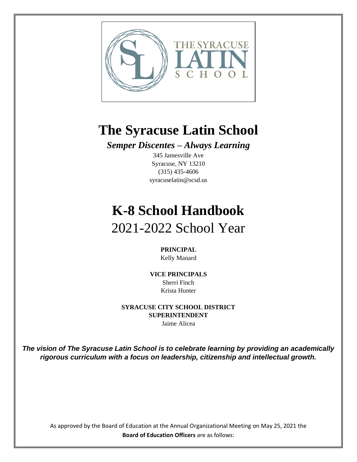

## **The Syracuse Latin School**

*Semper Discentes – Always Learning*

345 Jamesville Ave Syracuse, NY 13210 (315) 435-4606 syracuselatin@scsd.us

# **K-8 School Handbook** 2021-2022 School Year

**PRINCIPAL**

Kelly Manard

**VICE PRINCIPALS** Sherri Finch Krista Hunter

**SYRACUSE CITY SCHOOL DISTRICT SUPERINTENDENT** Jaime Alicea

*The vision of The Syracuse Latin School is to celebrate learning by providing an academically rigorous curriculum with a focus on leadership, citizenship and intellectual growth.*

As approved by the Board of Education at the Annual Organizational Meeting on May 25, 2021 the **Board of Education Officers** are as follows: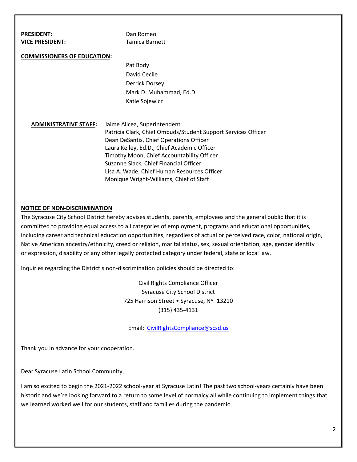| <b>PRESIDENT:</b>                  | Dan Romeo                                                     |
|------------------------------------|---------------------------------------------------------------|
| <b>VICE PRESIDENT:</b>             | Tamica Barnett                                                |
|                                    |                                                               |
| <b>COMMISSIONERS OF EDUCATION:</b> |                                                               |
|                                    | Pat Body                                                      |
|                                    | David Cecile                                                  |
|                                    | <b>Derrick Dorsey</b>                                         |
|                                    | Mark D. Muhammad, Ed.D.                                       |
|                                    | Katie Sojewicz                                                |
|                                    |                                                               |
| <b>ADMINISTRATIVE STAFF:</b>       | Jaime Alicea, Superintendent                                  |
|                                    |                                                               |
|                                    | Patricia Clark, Chief Ombuds/Student Support Services Officer |
|                                    | Dean DeSantis, Chief Operations Officer                       |
|                                    | Laura Kelley, Ed.D., Chief Academic Officer                   |
|                                    | Timothy Moon, Chief Accountability Officer                    |
|                                    | Suzanne Slack, Chief Financial Officer                        |
|                                    | Lisa A. Wade, Chief Human Resources Officer                   |
|                                    | Monique Wright-Williams, Chief of Staff                       |

#### **NOTICE OF NON-DISCRIMINATION**

The Syracuse City School District hereby advises students, parents, employees and the general public that it is committed to providing equal access to all categories of employment, programs and educational opportunities, including career and technical education opportunities, regardless of actual or perceived race, color, national origin, Native American ancestry/ethnicity, creed or religion, marital status, sex, sexual orientation, age, gender identity or expression, disability or any other legally protected category under federal, state or local law.

Inquiries regarding the District's non-discrimination policies should be directed to:

Civil Rights Compliance Officer Syracuse City School District 725 Harrison Street • Syracuse, NY 13210 (315) 435-4131

Email: [CivilRightsCompliance@scsd.us](mailto:CivilRightsCompliance@scsd.us)

Thank you in advance for your cooperation.

Dear Syracuse Latin School Community,

I am so excited to begin the 2021-2022 school-year at Syracuse Latin! The past two school-years certainly have been historic and we're looking forward to a return to some level of normalcy all while continuing to implement things that we learned worked well for our students, staff and families during the pandemic.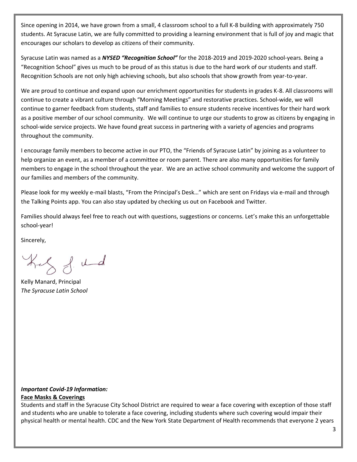Since opening in 2014, we have grown from a small, 4 classroom school to a full K-8 building with approximately 750 students. At Syracuse Latin, we are fully committed to providing a learning environment that is full of joy and magic that encourages our scholars to develop as citizens of their community.

Syracuse Latin was named as a *NYSED "Recognition School"* for the 2018-2019 and 2019-2020 school-years. Being a "Recognition School" gives us much to be proud of as this status is due to the hard work of our students and staff. Recognition Schools are not only high achieving schools, but also schools that show growth from year-to-year.

We are proud to continue and expand upon our enrichment opportunities for students in grades K-8. All classrooms will continue to create a vibrant culture through "Morning Meetings" and restorative practices. School-wide, we will continue to garner feedback from students, staff and families to ensure students receive incentives for their hard work as a positive member of our school community. We will continue to urge our students to grow as citizens by engaging in school-wide service projects. We have found great success in partnering with a variety of agencies and programs throughout the community.

I encourage family members to become active in our PTO, the "Friends of Syracuse Latin" by joining as a volunteer to help organize an event, as a member of a committee or room parent. There are also many opportunities for family members to engage in the school throughout the year. We are an active school community and welcome the support of our families and members of the community.

Please look for my weekly e-mail blasts, "From the Principal's Desk…" which are sent on Fridays via e-mail and through the Talking Points app. You can also stay updated by checking us out on Facebook and Twitter.

Families should always feel free to reach out with questions, suggestions or concerns. Let's make this an unforgettable school-year!

Sincerely,

hely f. und

Kelly Manard, Principal *The Syracuse Latin School*

## *Important Covid-19 Information:*

#### **Face Masks & Coverings**

Students and staff in the Syracuse City School District are required to wear a face covering with exception of those staff and students who are unable to tolerate a face covering, including students where such covering would impair their physical health or mental health. CDC and the New York State Department of Health recommends that everyone 2 years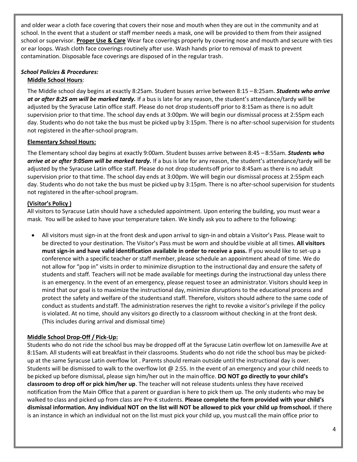and older wear a cloth face covering that covers their nose and mouth when they are out in the community and at school. In the event that a student or staff member needs a mask, one will be provided to them from their assigned school or supervisor. **Proper Use & Care** Wear face coverings properly by covering nose and mouth and secure with ties or ear loops. Wash cloth face coverings routinely after use. Wash hands prior to removal of mask to prevent contamination. Disposable face coverings are disposed of in the regular trash.

#### *School Policies & Procedures:* **Middle School Hours**:

The Middle school day begins at exactly 8:25am. Student busses arrive between 8:15 – 8:25am. *Students who arrive at or after 8:25 am will be marked tardy.* If a bus is late for any reason, the student's attendance/tardy will be adjusted by the Syracuse Latin office staff. Please do not drop studentsoff prior to 8:15am as there is no adult supervision prior to that time. The school day ends at 3:00pm. We will begin our dismissal process at 2:55pm each day. Students who do not take the bus must be picked up by 3:15pm. There is no after-school supervision for students not registered in theafter-school program.

## **Elementary School Hours:**

The Elementary school day begins at exactly 9:00am. Student busses arrive between 8:45 – 8:55am. *Students who arrive at or after 9:05am will be marked tardy.* If a bus is late for any reason, the student's attendance/tardy will be adjusted by the Syracuse Latin office staff. Please do not drop studentsoff prior to 8:45am as there is no adult supervision prior to that time. The school day ends at 3:00pm. We will begin our dismissal process at 2:55pm each day. Students who do not take the bus must be picked up by 3:15pm. There is no after-school supervision for students not registered in theafter-school program.

## **(Visitor's Policy )**

All visitors to Syracuse Latin should have a scheduled appointment. Upon entering the building, you must wear a mask. You will be asked to have your temperature taken. We kindly ask you to adhere to the following:

• All visitors must sign-in at the front desk and upon arrival to sign-in and obtain a Visitor's Pass. Please wait to be directed to your destination. The Visitor's Pass must be worn and shouldbe visible at all times. **All visitors must sign-in and have valid identification available in order to receive a pass.** If you would like to set-up a conference with a specific teacher or staff member, please schedule an appointment ahead of time. We do not allow for "pop in" visits in order to minimize disruption to the instructional day and ensure the safety of students and staff. Teachers will not be made available for meetings during the instructional day unless there is an emergency. In the event of an emergency, please request tosee an administrator. Visitors should keep in mind that our goal is to maximize the instructional day, minimize disruptions to the educational process and protect the safety and welfare of the studentsand staff. Therefore, visitors should adhere to the same code of conduct as students andstaff. The administration reserves the right to revoke a visitor's privilege if the policy is violated. At no time, should any visitors go directly to a classroom without checking in at the front desk. (This includes during arrival and dismissal time)

## **Middle School Drop-Off / Pick-Up:**

Students who do not ride the school bus may be dropped off at the Syracuse Latin overflow lot on Jamesville Ave at 8:15am. All students will eat breakfast in their classrooms. Students who do not ride the school bus may be pickedup at the same Syracuse Latin overflow lot . Parents should remain outside until the instructional day is over. Students will be dismissed to walk to the overflow lot @ 2:55. In the event of an emergency and your child needs to be picked up before dismissal, please sign him/her out in the mainoffice. **DO NOT go directly to your child's classroom to drop off or pick him/her up**. The teacher will not release students unless they have received notification from the Main Office that a parent or guardian is here to pick them up. The only students who may be walked to class and picked up from class are Pre-K students. **Please complete the form provided with your child's dismissal information. Any individual NOT on the list will NOT be allowed to pick your child up fromschool.** If there is an instance in which an individual not on the list must pick your child up, you must call the main office prior to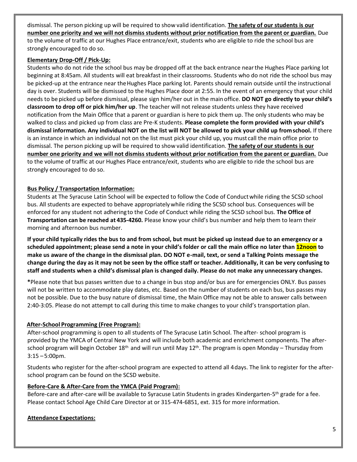dismissal. The person picking up will be required to show valid identification. **The safety of our students is our number one priority and we will not dismiss students without prior notification from the parent or guardian.** Due to the volume of traffic at our Hughes Place entrance/exit, students who are eligible to ride the school bus are strongly encouraged to do so.

#### **Elementary Drop-Off / Pick-Up:**

Students who do not ride the school bus may be dropped off at the back entrance nearthe Hughes Place parking lot beginning at 8:45am. All students will eat breakfast in their classrooms. Students who do not ride the school bus may be picked-up at the entrance near the Hughes Place parking lot. Parents should remain outside until the instructional day is over. Students will be dismissed to the Hughes Place door at 2:55. In the event of an emergency that your child needs to be picked up before dismissal, please sign him/her out in the mainoffice. **DO NOT go directly to your child's classroom to drop off or pick him/her up**. The teacher will not release students unless they have received notification from the Main Office that a parent or guardian is here to pick them up. The only students who may be walked to class and picked up from class are Pre-K students. **Please complete the form provided with your child's dismissal information. Any individual NOT on the list will NOT be allowed to pick your child up fromschool.** If there is an instance in which an individual not on the list must pick your child up, you must call the main office prior to dismissal. The person picking up will be required to show valid identification. **The safety of our students is our number one priority and we will not dismiss students without prior notification from the parent or guardian.** Due to the volume of traffic at our Hughes Place entrance/exit, students who are eligible to ride the school bus are strongly encouraged to do so.

#### **Bus Policy / Transportation Information:**

Students at The Syracuse Latin School will be expected to follow the Code of Conductwhile riding the SCSD school bus. All students are expected to behave appropriatelywhile riding the SCSD school bus. Consequences will be enforced for any student not adheringto the Code of Conduct while riding the SCSD school bus. **The Office of Transportation can be reached at 435-4260.** Please know your child's bus number and help them to learn their morning and afternoon bus number.

**If your child typically rides the bus to and from school, but must be picked up instead due to an emergency or a scheduled appointment; please send a note in your child's folder or call the main office no later than 12noon to make us aware of the change in the dismissal plan. DO NOT e-mail, text, or send a Talking Points message the change during the day as it may not be seen by the office staff or teacher. Additionally, it can be very confusing to staff and students when a child's dismissal plan is changed daily. Please do not make any unnecessary changes.** 

**\***Please note that bus passes written due to a change in bus stop and/or bus are for emergencies ONLY. Bus passes will not be written to accommodate play dates, etc. Based on the number of students on each bus, bus passes may not be possible. Due to the busy nature of dismissal time, the Main Office may not be able to answer calls between 2:40-3:05. Please do not attempt to call during this time to make changes to your child's transportation plan.

#### **After-School Programming (Free Program):**

After-school programming is open to all students of The Syracuse Latin School. The after- school program is provided by the YMCA of Central New York and will include both academic and enrichment components. The afterschool program will begin October 18<sup>th</sup> and will run until May 12<sup>th</sup>. The program is open Monday – Thursday from 3:15 –5:00pm.

Students who register for the after-school program are expected to attend all 4days. The link to register for the afterschool program can be found on the SCSD website.

#### **Before-Care & After-Care from the YMCA (Paid Program):**

Before-care and after-care will be available to Syracuse Latin Students in grades Kindergarten-5<sup>th</sup> grade for a fee. Please contact School Age Child Care Director at or 315-474-6851, ext. 315 for more information.

#### **Attendance Expectations:**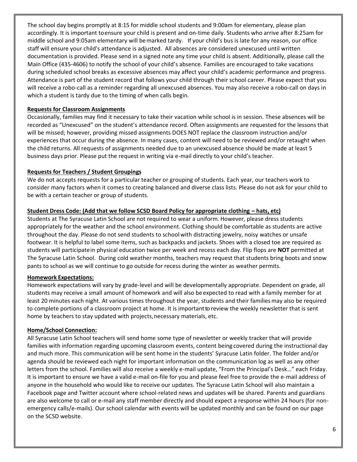The school day begins promptly at 8:15 for middle school students and 9:00am for elementary, please plan accordingly. It is important toensure your child is present and on-time daily. Students who arrive after 8:25am for middle school and 9:05am elementary will bemarked tardy. If your child's bus is late for any reason, our office staff will ensure your child's attendance is adjusted. All absences are considered unexcused until written documentation is provided. Please send in a signed note any time your child is absent. Additionally, please call the Main Office (435-4606) to notify the school of your child's absence. Families are encouraged to take vacations during scheduled school breaks as excessive absences may affect your child's academic performance and progress. Attendance is part of the student record that follows your child through their school career. Please expect that you will receive a robo-call as a reminder regarding all unexcused absences. You may also receive a robo-call on days in which a student is tardy due to the timing of when calls begin.

#### **Requests for Classroom Assignments**

Occasionally, families may find it necessary to take their vacation while school is in session. These absences will be recorded as "Unexcused" on the student's attendance record. Often assignments are requested for the lessons that will be missed; however, providing missed assignments DOES NOT replace the classroom instruction and/or experiences that occur during the absence. In many cases, content will need to be reviewed and/or retaught when the child returns. All requests of assignments needed due to an unexcused absence should be made at least 5 business days prior. Please put the request in writing via e-mail directly to your child's teacher.

#### **Requests for Teachers / Student Groupings**

We do not accepts requests for a particular teacher or grouping of students. Each year, our teachers work to consider many factors when it comes to creating balanced and diverse class lists. Please do not ask for your child to be with a certain teacher or group of students.

#### **Student Dress Code: (Add that we follow SCSD Board Policy for appropriate clothing – hats, etc)**

Students at The Syracuse Latin School are not required to wear a uniform. However, please dress students appropriately for the weather and the school environment. Clothing should be comfortable as students are active throughout the day. Please do not send students to school with distracting jewelry, noisy watches or unsafe footwear. It is helpful to label some items, such as backpacks and jackets. Shoes with a closed toe are required as students will participatein physical education twice per week and recess each day. Flip flops are **NOT** permitted at The Syracuse Latin School. During cold weather months, teachers may request that students bring boots and snow pants to school as we will continue to go outside for recess during the winter as weather permits.

#### **Homework Expectations:**

Homework expectations will vary by grade-level and will be developmentally appropriate. Dependent on grade, all students may receive a small amount of homework and will also beexpected to read with a family member for at least 20 minutes each night. At various times throughout the year, students and their familiesmay also be required to complete portions of a classroom project at home. It is important to review the weekly newsletter that is sent home by teachers to stay updated with projects,necessary materials, etc.

#### **Home/School Connection:**

All Syracuse Latin School teachers will send home some type of newsletter or weekly tracker that will provide families with information regarding upcoming classroom events, content being covered during the instructional day and much more. This communication will be sent home in the students' Syracuse Latin folder. The folder and/or agenda should be reviewed each night for important information on the communication log as well as any other letters from the school. Families will also receive a weekly e-mail update, "From the Principal's Desk…" each Friday. It is important to ensure we have a valid e-mail on-file for you and please feel free to provide the e-mail address of anyone in the household who would like to receive our updates. The Syracuse Latin School will also maintain a Facebook page and Twitter account where school-related news and updates will be shared. Parents and guardians are also welcome to call or e-mail any staff member directly and should expect a response within 24 hours (for nonemergency calls/e-mails). Our school calendar with events will be updated monthly and can be found on our page on the SCSD website.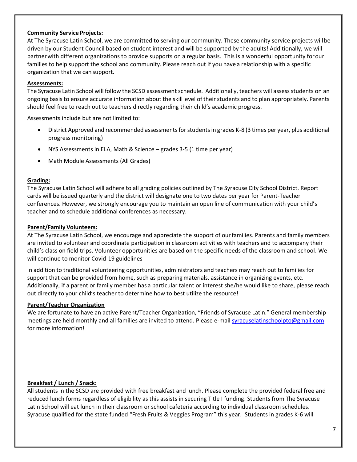#### **Community Service Projects:**

At The Syracuse Latin School, we are committed to serving our community. These community service projects willbe driven by our Student Council based on student interest and will be supported by the adults! Additionally, we will partnerwith different organizations to provide supports on a regular basis. This is a wonderful opportunity forour families to help support the school and community. Please reach out if you have a relationship with a specific organization that we can support.

#### **Assessments:**

The Syracuse Latin School will follow the SCSD assessment schedule. Additionally, teachers will assess students on an ongoing basis to ensure accurate information about the skilllevel of their students and to plan appropriately. Parents should feel free to reach out to teachers directly regarding their child's academic progress.

Assessments include but are not limited to:

- District Approved and recommended assessments for students in grades K-8 (3 times per year, plus additional progress monitoring)
- NYS Assessments in ELA, Math & Science grades 3-5 (1 time per year)
- Math Module Assessments (All Grades)

#### **Grading:**

The Syracuse Latin School will adhere to all grading policies outlined by The Syracuse City School District. Report cards will be issued quarterly and the district will designate one to two dates per year for Parent-Teacher conferences. However, we strongly encourage you to maintain an open line of communication with your child's teacher and to schedule additional conferences as necessary.

#### **Parent/Family Volunteers:**

At The Syracuse Latin School, we encourage and appreciate the support of ourfamilies. Parents and family members are invited to volunteer and coordinate participation in classroom activities with teachers and to accompany their child's class on field trips. Volunteer opportunities are based on the specific needs of the classroom and school. We will continue to monitor Covid-19 guidelines

In addition to traditional volunteering opportunities, administrators and teachers may reach out to families for support that can be provided from home, such as preparing materials, assistance in organizing events, etc. Additionally, if a parent or family member has a particular talent or interest she/he would like to share, please reach out directly to your child's teacher to determine how to best utilize the resource!

#### **Parent/Teacher Organization**

We are fortunate to have an active Parent/Teacher Organization, "Friends of Syracuse Latin." General membership meetings are held monthly and all families are invited to attend. Please e-mai[l syracuselatinschoolpto@gmail.com](mailto:syracuselatinschoolpto@gmail.com) for more information!

#### **Breakfast / Lunch / Snack:**

All students in the SCSD are provided with free breakfast and lunch. Please complete the provided federal free and reduced lunch forms regardless of eligibility as this assists in securing Title I funding. Students from The Syracuse Latin School will eat lunch in their classroom or school cafeteria according to individual classroom schedules. Syracuse qualified for the state funded "Fresh Fruits & Veggies Program" this year. Students in grades K-6 will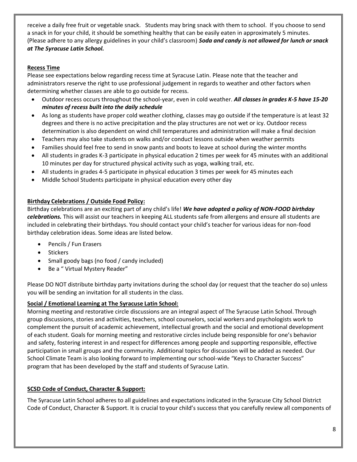receive a daily free fruit or vegetable snack. Students may bring snack with them to school. If you choose to send a snack in for your child, it should be something healthy that can be easily eaten in approximately 5 minutes. (Please adhere to any allergy guidelines in your child's classroom) *Soda and candy is not allowed for lunch or snack at The Syracuse Latin School.*

## **Recess Time**

Please see expectations below regarding recess time at Syracuse Latin. Please note that the teacher and administrators reserve the right to use professional judgement in regards to weather and other factors when determining whether classes are able to go outside for recess.

- Outdoor recess occurs throughout the school-year, even in cold weather. *All classes in grades K-5 have 15-20 minutes of recess built into the daily schedule*
- As long as students have proper cold weather clothing, classes may go outside if the temperature is at least 32 degrees and there is no active precipitation and the play structures are not wet or icy. Outdoor recess determination is also dependent on wind chill temperatures and administration will make a final decision
- Teachers may also take students on walks and/or conduct lessons outside when weather permits
- Families should feel free to send in snow pants and boots to leave at school during the winter months
- All students in grades K-3 participate in physical education 2 times per week for 45 minutes with an additional 10 minutes per day for structured physical activity such as yoga, walking trail, etc.
- All students in grades 4-5 participate in physical education 3 times per week for 45 minutes each
- Middle School Students participate in physical education every other day

## **Birthday Celebrations / Outside Food Policy:**

Birthday celebrations are an exciting part of any child's life! *We have adopted a policy of NON-FOOD birthday celebrations.* This will assist our teachers in keeping ALL students safe from allergens and ensure all students are included in celebrating their birthdays. You should contact your child's teacher for various ideas for non-food birthday celebration ideas. Some ideas are listed below.

- Pencils / Fun Erasers
- Stickers
- Small goody bags (no food / candy included)
- Be a " Virtual Mystery Reader"

Please DO NOT distribute birthday party invitations during the school day (or request that the teacher do so) unless you will be sending an invitation for all students in the class.

#### **Social / Emotional Learning at The Syracuse Latin School:**

Morning meeting and restorative circle discussions are an integral aspect of The Syracuse Latin School. Through group discussions, stories and activities, teachers, school counselors, social workers and psychologists work to complement the pursuit of academic achievement, intellectual growth and the social and emotional development of each student. Goals for morning meeting and restorative circles include being responsible for one's behavior and safety, fostering interest in and respect for differences among people and supporting responsible, effective participation in small groups and the community. Additional topics for discussion will be added as needed. Our School Climate Team is also looking forward to implementing our school-wide "Keys to Character Success" program that has been developed by the staff and students of Syracuse Latin.

#### **SCSD Code of Conduct, Character & Support:**

The Syracuse Latin School adheres to all guidelines and expectations indicated in the Syracuse City School District Code of Conduct, Character & Support. It is crucial to your child's success that you carefully review all components of